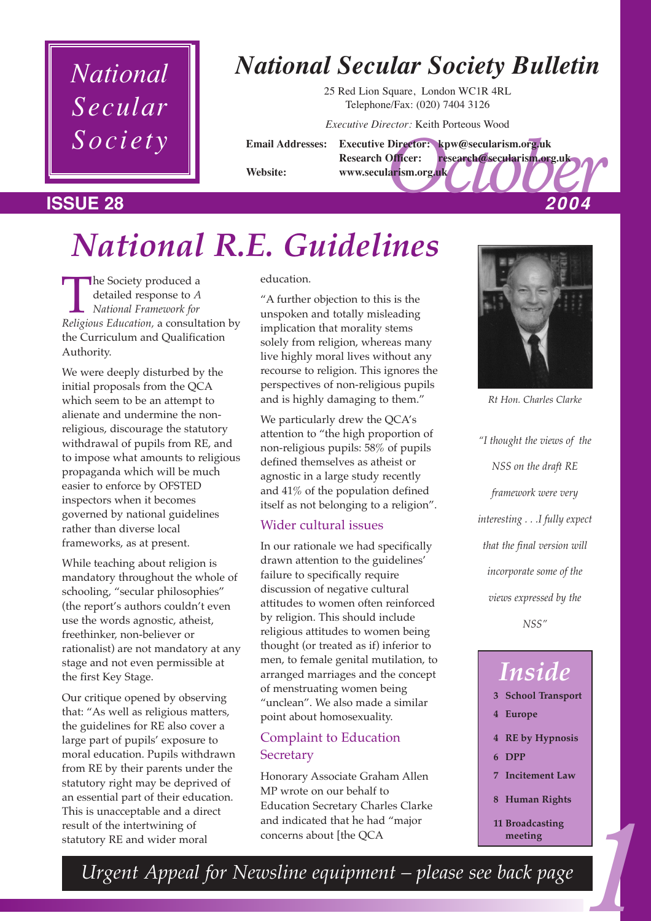## *National Secular Society*

## *National Secular Society Bulletin*

25 Red Lion Square, London WC1R 4RL Telephone/Fax: (020) 7404 3126

*Executive Director:* Keith Porteous Wood

#### Director: kpw@secularism.org.uk<br>Officer: research@secularism.org.uk<br>larism.org.uk<br>2004 **Email Addresses: Executive Director: kpw@secularism.org.uk Research Officer: research@secularism.org.uk Website: www.secularism.org.uk ISSUE 28** *2004*

# *National R.E. Guidelines*

**The Society produced a**<br>detailed response to *A*<br>*Religious Education,* a consultation by detailed response to *A National Framework for* the Curriculum and Qualification Authority.

We were deeply disturbed by the initial proposals from the QCA which seem to be an attempt to alienate and undermine the nonreligious, discourage the statutory withdrawal of pupils from RE, and to impose what amounts to religious propaganda which will be much easier to enforce by OFSTED inspectors when it becomes governed by national guidelines rather than diverse local frameworks, as at present.

While teaching about religion is mandatory throughout the whole of schooling, "secular philosophies" (the report's authors couldn't even use the words agnostic, atheist, freethinker, non-believer or rationalist) are not mandatory at any stage and not even permissible at the first Key Stage.

Our critique opened by observing that: "As well as religious matters, the guidelines for RE also cover a large part of pupils' exposure to moral education. Pupils withdrawn from RE by their parents under the statutory right may be deprived of an essential part of their education. This is unacceptable and a direct result of the intertwining of statutory RE and wider moral

education.

"A further objection to this is the unspoken and totally misleading implication that morality stems solely from religion, whereas many live highly moral lives without any recourse to religion. This ignores the perspectives of non-religious pupils and is highly damaging to them."

We particularly drew the QCA's attention to "the high proportion of non-religious pupils: 58% of pupils defined themselves as atheist or agnostic in a large study recently and 41% of the population defined itself as not belonging to a religion".

#### Wider cultural issues

In our rationale we had specifically drawn attention to the guidelines' failure to specifically require discussion of negative cultural attitudes to women often reinforced by religion. This should include religious attitudes to women being thought (or treated as if) inferior to men, to female genital mutilation, to arranged marriages and the concept of menstruating women being "unclean". We also made a similar point about homosexuality.

## Complaint to Education **Secretary**

Honorary Associate Graham Allen MP wrote on our behalf to Education Secretary Charles Clarke and indicated that he had "major



*Rt Hon. Charles Clarke*

*"I thought the views of the NSS on the draft RE framework were very interesting . . .I fully expect that the final version will incorporate some of the views expressed by the NSS"*

## *Inside*

- **3 School Transport**
- **4 Europe**
- **4 RE by Hypnosis**
- **6 DPP**
- **7 Incitement Law**
- **8 Human Rights**
- **11 Broadcasting meeting**

Education Secretary Charles Charles<br>
and indicated that he had "major<br>
concerns about [the QCA **11 Broadcasting**<br> *11 Broadcasting*<br> *meeting*<br> *11 Broadcasting*<br> *11 Broadcasting*<br> *meeting Urgent Appeal for Newsline equipment – please see back page*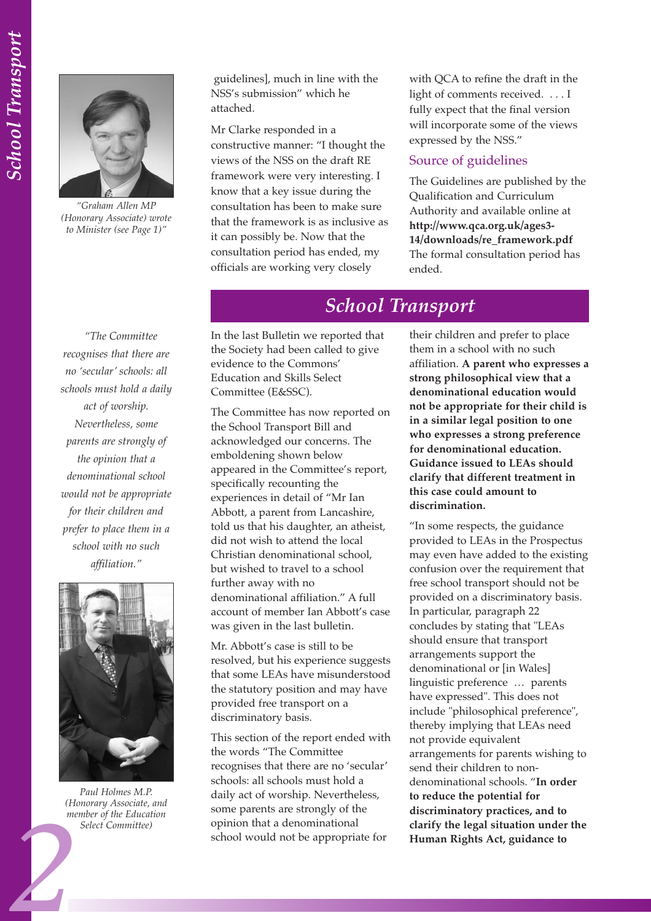

*"Graham Allen MP (Honorary Associate) wrote to Minister (see Page 1)"*

guidelines], much in line with the NSS's submission" which he attached.

Mr Clarke responded in a constructive manner: "I thought the views of the NSS on the draft RE framework were very interesting. I know that a key issue during the consultation has been to make sure that the framework is as inclusive as it can possibly be. Now that the consultation period has ended, my officials are working very closely

with QCA to refine the draft in the light of comments received. . . . I fully expect that the final version will incorporate some of the views expressed by the NSS."

#### Source of guidelines

The Guidelines are published by the Qualification and Curriculum Authority and available online at **http://www.qca.org.uk/ages3- 14/downloads/re\_framework.pdf** The formal consultation period has ended.

## *School Transport*

In the last Bulletin we reported that the Society had been called to give evidence to the Commons' Education and Skills Select Committee (E&SSC).

The Committee has now reported on the School Transport Bill and acknowledged our concerns. The emboldening shown below appeared in the Committee's report, specifically recounting the experiences in detail of "Mr Ian Abbott, a parent from Lancashire, told us that his daughter, an atheist, did not wish to attend the local Christian denominational school, but wished to travel to a school further away with no denominational affiliation." A full account of member Ian Abbott's case was given in the last bulletin.

Mr. Abbott's case is still to be resolved, but his experience suggests that some LEAs have misunderstood the statutory position and may have provided free transport on a discriminatory basis.

This section of the report ended with the words "The Committee recognises that there are no 'secular' schools: all schools must hold a daily act of worship. Nevertheless, some parents are strongly of the opinion that a denominational school would not be appropriate for

their children and prefer to place them in a school with no such affiliation. **A parent who expresses a strong philosophical view that a denominational education would not be appropriate for their child is in a similar legal position to one who expresses a strong preference for denominational education. Guidance issued to LEAs should clarify that different treatment in this case could amount to discrimination.** 

"In some respects, the guidance provided to LEAs in the Prospectus may even have added to the existing confusion over the requirement that free school transport should not be provided on a discriminatory basis. In particular, paragraph 22 concludes by stating that "LEAs should ensure that transport arrangements support the denominational or [in Wales] linguistic preference … parents have expressed". This does not include "philosophical preference", thereby implying that LEAs need not provide equivalent arrangements for parents wishing to send their children to nondenominational schools. "**In order to reduce the potential for discriminatory practices, and to clarify the legal situation under the Human Rights Act, guidance to**

*"The Committee recognises that there are no 'secular' schools: all schools must hold a daily act of worship. Nevertheless, some parents are strongly of the opinion that a denominational school would not be appropriate for their children and prefer to place them in a school with no such affiliation."* 



*Paul Holmes M.P. (Honorary Associate, and member of the Education Select Committee)*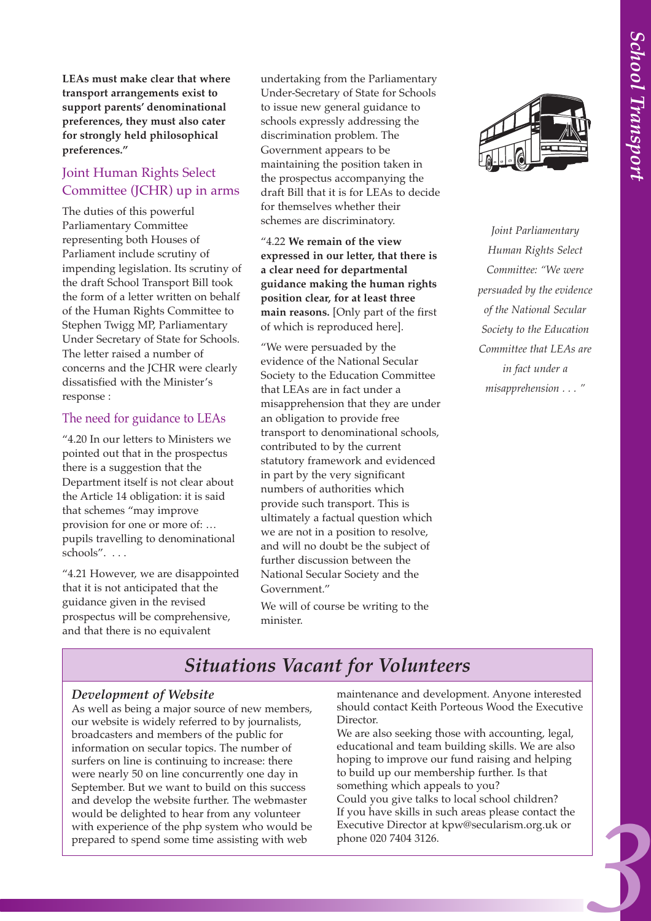**LEAs must make clear that where transport arrangements exist to support parents' denominational preferences, they must also cater for strongly held philosophical preferences."**

### Joint Human Rights Select Committee (JCHR) up in arms

The duties of this powerful Parliamentary Committee representing both Houses of Parliament include scrutiny of impending legislation. Its scrutiny of the draft School Transport Bill took the form of a letter written on behalf of the Human Rights Committee to Stephen Twigg MP, Parliamentary Under Secretary of State for Schools. The letter raised a number of concerns and the JCHR were clearly dissatisfied with the Minister's response :

#### The need for guidance to LEAs

"4.20 In our letters to Ministers we pointed out that in the prospectus there is a suggestion that the Department itself is not clear about the Article 14 obligation: it is said that schemes "may improve provision for one or more of: … pupils travelling to denominational schools". . . .

"4.21 However, we are disappointed that it is not anticipated that the guidance given in the revised prospectus will be comprehensive, and that there is no equivalent

undertaking from the Parliamentary Under-Secretary of State for Schools to issue new general guidance to schools expressly addressing the discrimination problem. The Government appears to be maintaining the position taken in the prospectus accompanying the draft Bill that it is for LEAs to decide for themselves whether their schemes are discriminatory.

"4.22 **We remain of the view expressed in our letter, that there is a clear need for departmental guidance making the human rights position clear, for at least three main reasons.** [Only part of the first of which is reproduced here].

"We were persuaded by the evidence of the National Secular Society to the Education Committee that LEAs are in fact under a misapprehension that they are under an obligation to provide free transport to denominational schools, contributed to by the current statutory framework and evidenced in part by the very significant numbers of authorities which provide such transport. This is ultimately a factual question which we are not in a position to resolve, and will no doubt be the subject of further discussion between the National Secular Society and the Government."

We will of course be writing to the minister.



*Joint Parliamentary Human Rights Select Committee: "We were persuaded by the evidence of the National Secular Society to the Education Committee that LEAs are in fact under a misapprehension . . . "* 

## *Situations Vacant for Volunteers*

#### *Development of Website*

As well as being a major source of new members, our website is widely referred to by journalists, broadcasters and members of the public for information on secular topics. The number of surfers on line is continuing to increase: there were nearly 50 on line concurrently one day in September. But we want to build on this success and develop the website further. The webmaster would be delighted to hear from any volunteer with experience of the php system who would be prepared to spend some time assisting with web

maintenance and development. Anyone interested should contact Keith Porteous Wood the Executive Director.

We are also seeking those with accounting, legal, educational and team building skills. We are also hoping to improve our fund raising and helping to build up our membership further. Is that something which appeals to you?

Could you give talks to local school children? If you have skills in such areas please contact the Executive Director at kpw@secularism.org.uk or phone 020 7404 3126.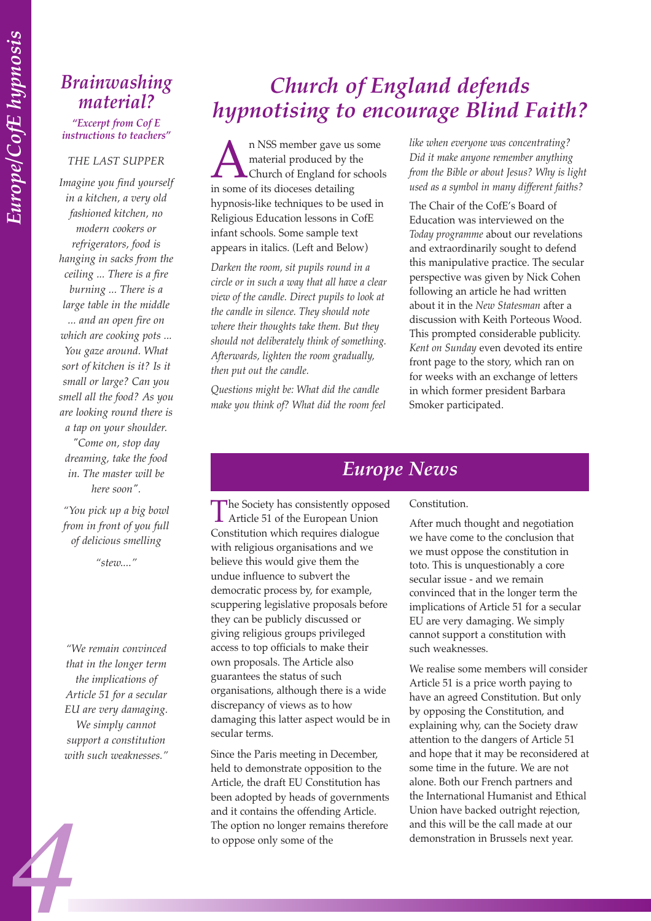## *Brainwashing material?*

*"Excerpt from Cof E instructions to teachers"*

#### *THE LAST SUPPER*

*Imagine you find yourself in a kitchen, a very old fashioned kitchen, no modern cookers or refrigerators, food is hanging in sacks from the ceiling ... There is a fire burning ... There is a large table in the middle ... and an open fire on which are cooking pots ... You gaze around. What sort of kitchen is it? Is it small or large? Can you smell all the food? As you are looking round there is a tap on your shoulder. "Come on, stop day dreaming, take the food in. The master will be here soon".*

*"You pick up a big bowl from in front of you full of delicious smelling*

*"stew...."*

*"We remain convinced that in the longer term the implications of Article 51 for a secular EU are very damaging. We simply cannot support a constitution with such weaknesses."*

*4*

## *Church of England defends hypnotising to encourage Blind Faith?*

**A** n NSS member gave us some<br>material produced by the<br>church of England for school<br>in some of its dioceses detailing material produced by the Church of England for schools in some of its dioceses detailing hypnosis-like techniques to be used in Religious Education lessons in CofE infant schools. Some sample text appears in italics. (Left and Below)

*Darken the room, sit pupils round in a circle or in such a way that all have a clear view of the candle. Direct pupils to look at the candle in silence. They should note where their thoughts take them. But they should not deliberately think of something. Afterwards, lighten the room gradually, then put out the candle.*

*Questions might be: What did the candle make you think of? What did the room feel* *like when everyone was concentrating? Did it make anyone remember anything from the Bible or about Jesus? Why is light used as a symbol in many different faiths?*

The Chair of the CofE's Board of Education was interviewed on the *Today programme* about our revelations and extraordinarily sought to defend this manipulative practice. The secular perspective was given by Nick Cohen following an article he had written about it in the *New Statesman* after a discussion with Keith Porteous Wood. This prompted considerable publicity. *Kent on Sunday* even devoted its entire front page to the story, which ran on for weeks with an exchange of letters in which former president Barbara Smoker participated.

## *Europe News*

Constitution.

After much thought and negotiation we have come to the conclusion that we must oppose the constitution in toto. This is unquestionably a core secular issue - and we remain convinced that in the longer term the implications of Article 51 for a secular EU are very damaging. We simply cannot support a constitution with such weaknesses.

We realise some members will consider Article 51 is a price worth paying to have an agreed Constitution. But only by opposing the Constitution, and explaining why, can the Society draw attention to the dangers of Article 51 and hope that it may be reconsidered at some time in the future. We are not alone. Both our French partners and the International Humanist and Ethical Union have backed outright rejection, and this will be the call made at our demonstration in Brussels next year.

The Society has consistently opposed<br>Article 51 of the European Union Constitution which requires dialogue with religious organisations and we believe this would give them the undue influence to subvert the democratic process by, for example, scuppering legislative proposals before they can be publicly discussed or giving religious groups privileged access to top officials to make their own proposals. The Article also guarantees the status of such organisations, although there is a wide discrepancy of views as to how damaging this latter aspect would be in secular terms.

Since the Paris meeting in December, held to demonstrate opposition to the Article, the draft EU Constitution has been adopted by heads of governments and it contains the offending Article. The option no longer remains therefore to oppose only some of the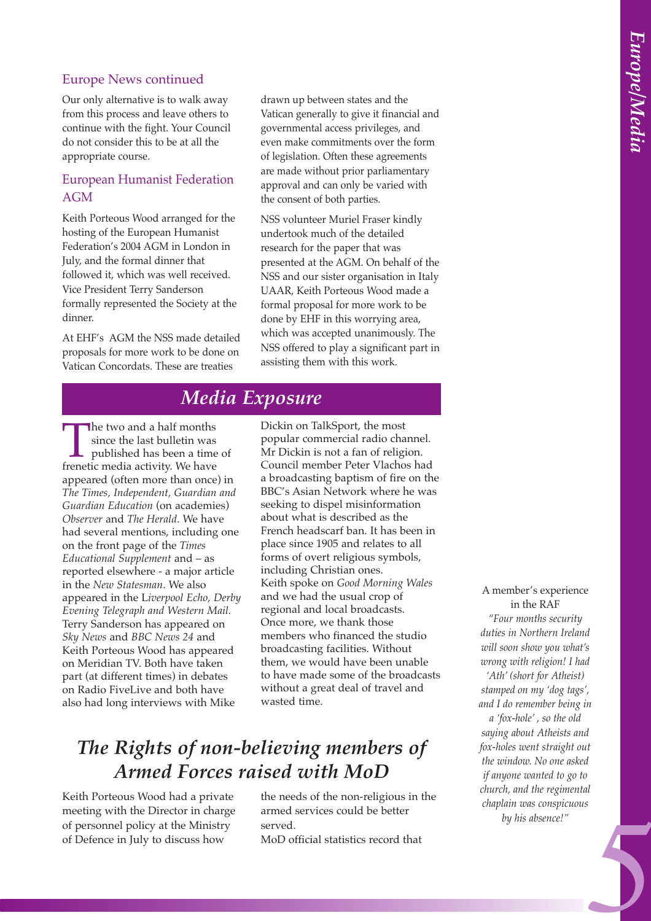#### Europe News continued

Our only alternative is to walk away from this process and leave others to continue with the fight. Your Council do not consider this to be at all the appropriate course.

#### European Humanist Federation AGM

Keith Porteous Wood arranged for the hosting of the European Humanist Federation's 2004 AGM in London in July, and the formal dinner that followed it, which was well received. Vice President Terry Sanderson formally represented the Society at the dinner.

At EHF's AGM the NSS made detailed proposals for more work to be done on Vatican Concordats. These are treaties

drawn up between states and the Vatican generally to give it financial and governmental access privileges, and even make commitments over the form of legislation. Often these agreements are made without prior parliamentary approval and can only be varied with the consent of both parties.

NSS volunteer Muriel Fraser kindly undertook much of the detailed research for the paper that was presented at the AGM. On behalf of the NSS and our sister organisation in Italy UAAR, Keith Porteous Wood made a formal proposal for more work to be done by EHF in this worrying area, which was accepted unanimously. The NSS offered to play a significant part in assisting them with this work.

## *Media Exposure*

The two and a half months<br>
since the last bulletin was<br>
published has been a time<br>
frenetic media activity. We have since the last bulletin was published has been a time of appeared (often more than once) in *The Times, Independent, Guardian and Guardian Education* (on academies) *Observer* and *The Herald*. We have had several mentions, including one on the front page of the *Times Educational Supplement* and – as reported elsewhere - a major article in the *New Statesman*. We also appeared in the L*iverpool Echo, Derby Evening Telegraph and Western Mail.*  Terry Sanderson has appeared on *Sky News* and *BBC News 24* and Keith Porteous Wood has appeared on Meridian TV. Both have taken part (at different times) in debates on Radio FiveLive and both have also had long interviews with Mike

Dickin on TalkSport, the most popular commercial radio channel. Mr Dickin is not a fan of religion. Council member Peter Vlachos had a broadcasting baptism of fire on the BBC's Asian Network where he was seeking to dispel misinformation about what is described as the French headscarf ban. It has been in place since 1905 and relates to all forms of overt religious symbols, including Christian ones. Keith spoke on *Good Morning Wales* and we had the usual crop of regional and local broadcasts. Once more, we thank those members who financed the studio broadcasting facilities. Without them, we would have been unable to have made some of the broadcasts without a great deal of travel and wasted time.

## *The Rights of non-believing members of Armed Forces raised with MoD*

Keith Porteous Wood had a private meeting with the Director in charge of personnel policy at the Ministry of Defence in July to discuss how

the needs of the non-religious in the armed services could be better served. MoD official statistics record that

A member's experience in the RAF *"Four months security duties in Northern Ireland will soon show you what's wrong with religion! I had 'Ath' (short for Atheist) stamped on my 'dog tags', and I do remember being in a 'fox-hole' , so the old saying about Atheists and fox-holes went straight out the window. No one asked if anyone wanted to go to*

*chaplain was conspicuous by his absence!"* 

*church, and the regimental*

*5*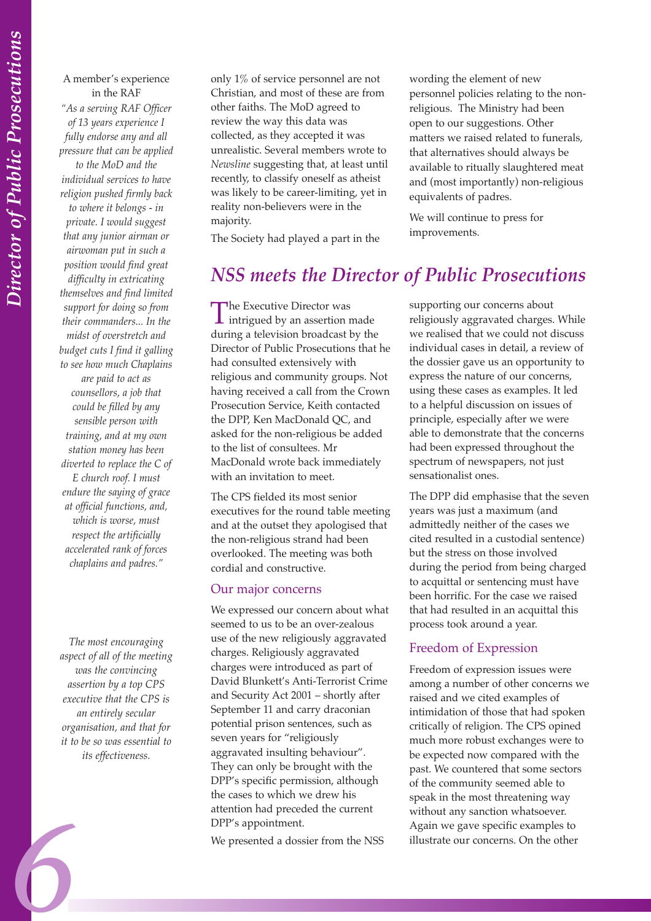#### A member's experience in the RAF

*"As a serving RAF Officer of 13 years experience I fully endorse any and all pressure that can be applied to the MoD and the individual services to have religion pushed firmly back to where it belongs - in private. I would suggest that any junior airman or airwoman put in such a position would find great difficulty in extricating themselves and find limited support for doing so from their commanders... In the midst of overstretch and budget cuts I find it galling to see how much Chaplains are paid to act as counsellors, a job that could be filled by any sensible person with training, and at my own station money has been diverted to replace the C of E church roof. I must endure the saying of grace at official functions, and, which is worse, must respect the artificially accelerated rank of forces chaplains and padres."* 

*The most encouraging aspect of all of the meeting was the convincing assertion by a top CPS executive that the CPS is an entirely secular organisation, and that for it to be so was essential to its effectiveness.* 

*6*

only 1% of service personnel are not Christian, and most of these are from other faiths. The MoD agreed to review the way this data was collected, as they accepted it was unrealistic. Several members wrote to *Newsline* suggesting that, at least until recently, to classify oneself as atheist was likely to be career-limiting, yet in reality non-believers were in the majority.

The Society had played a part in the

wording the element of new personnel policies relating to the nonreligious. The Ministry had been open to our suggestions. Other matters we raised related to funerals, that alternatives should always be available to ritually slaughtered meat and (most importantly) non-religious equivalents of padres.

We will continue to press for improvements.

## *NSS meets the Director of Public Prosecutions*

The Executive Director was<br>intrigued by an assertion made during a television broadcast by the Director of Public Prosecutions that he had consulted extensively with religious and community groups. Not having received a call from the Crown Prosecution Service, Keith contacted the DPP, Ken MacDonald QC, and asked for the non-religious be added to the list of consultees. Mr MacDonald wrote back immediately with an invitation to meet.

The CPS fielded its most senior executives for the round table meeting and at the outset they apologised that the non-religious strand had been overlooked. The meeting was both cordial and constructive.

#### Our major concerns

We expressed our concern about what seemed to us to be an over-zealous use of the new religiously aggravated charges. Religiously aggravated charges were introduced as part of David Blunkett's Anti-Terrorist Crime and Security Act 2001 – shortly after September 11 and carry draconian potential prison sentences, such as seven years for "religiously aggravated insulting behaviour". They can only be brought with the DPP's specific permission, although the cases to which we drew his attention had preceded the current DPP's appointment.

We presented a dossier from the NSS

supporting our concerns about religiously aggravated charges. While we realised that we could not discuss individual cases in detail, a review of the dossier gave us an opportunity to express the nature of our concerns, using these cases as examples. It led to a helpful discussion on issues of principle, especially after we were able to demonstrate that the concerns had been expressed throughout the spectrum of newspapers, not just sensationalist ones.

The DPP did emphasise that the seven years was just a maximum (and admittedly neither of the cases we cited resulted in a custodial sentence) but the stress on those involved during the period from being charged to acquittal or sentencing must have been horrific. For the case we raised that had resulted in an acquittal this process took around a year.

#### Freedom of Expression

Freedom of expression issues were among a number of other concerns we raised and we cited examples of intimidation of those that had spoken critically of religion. The CPS opined much more robust exchanges were to be expected now compared with the past. We countered that some sectors of the community seemed able to speak in the most threatening way without any sanction whatsoever. Again we gave specific examples to illustrate our concerns. On the other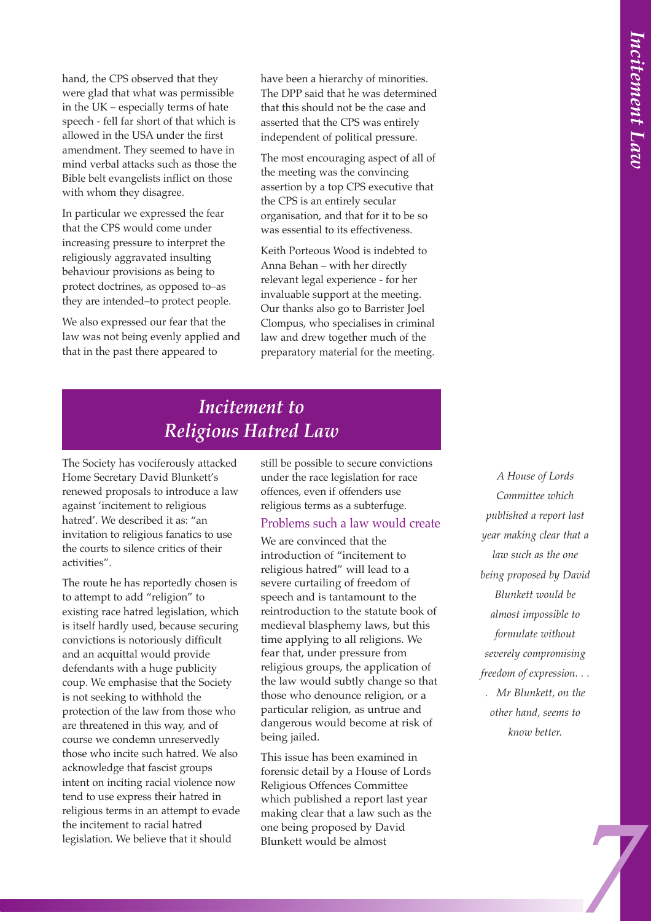hand, the CPS observed that they were glad that what was permissible in the UK – especially terms of hate speech - fell far short of that which is allowed in the USA under the first amendment. They seemed to have in mind verbal attacks such as those the Bible belt evangelists inflict on those with whom they disagree.

In particular we expressed the fear that the CPS would come under increasing pressure to interpret the religiously aggravated insulting behaviour provisions as being to protect doctrines, as opposed to–as they are intended–to protect people.

We also expressed our fear that the law was not being evenly applied and that in the past there appeared to

have been a hierarchy of minorities. The DPP said that he was determined that this should not be the case and asserted that the CPS was entirely independent of political pressure.

The most encouraging aspect of all of the meeting was the convincing assertion by a top CPS executive that the CPS is an entirely secular organisation, and that for it to be so was essential to its effectiveness.

Keith Porteous Wood is indebted to Anna Behan – with her directly relevant legal experience - for her invaluable support at the meeting. Our thanks also go to Barrister Joel Clompus, who specialises in criminal law and drew together much of the preparatory material for the meeting.

## *Incitement to Religious Hatred Law*

The Society has vociferously attacked Home Secretary David Blunkett's renewed proposals to introduce a law against 'incitement to religious hatred'. We described it as: "an invitation to religious fanatics to use the courts to silence critics of their activities".

The route he has reportedly chosen is to attempt to add "religion" to existing race hatred legislation, which is itself hardly used, because securing convictions is notoriously difficult and an acquittal would provide defendants with a huge publicity coup. We emphasise that the Society is not seeking to withhold the protection of the law from those who are threatened in this way, and of course we condemn unreservedly those who incite such hatred. We also acknowledge that fascist groups intent on inciting racial violence now tend to use express their hatred in religious terms in an attempt to evade the incitement to racial hatred legislation. We believe that it should

still be possible to secure convictions under the race legislation for race offences, even if offenders use religious terms as a subterfuge.

#### Problems such a law would create

We are convinced that the introduction of "incitement to religious hatred" will lead to a severe curtailing of freedom of speech and is tantamount to the reintroduction to the statute book of medieval blasphemy laws, but this time applying to all religions. We fear that, under pressure from religious groups, the application of the law would subtly change so that those who denounce religion, or a particular religion, as untrue and dangerous would become at risk of being jailed.

This issue has been examined in forensic detail by a House of Lords Religious Offences Committee which published a report last year making clear that a law such as the one being proposed by David Blunkett would be almost

*7Incitement Law A House of Lords Committee which published a report last year making clear that a law such as the one being proposed by David Blunkett would be almost impossible to formulate without severely compromising freedom of expression. . . . Mr Blunkett, on the other hand, seems to know better.*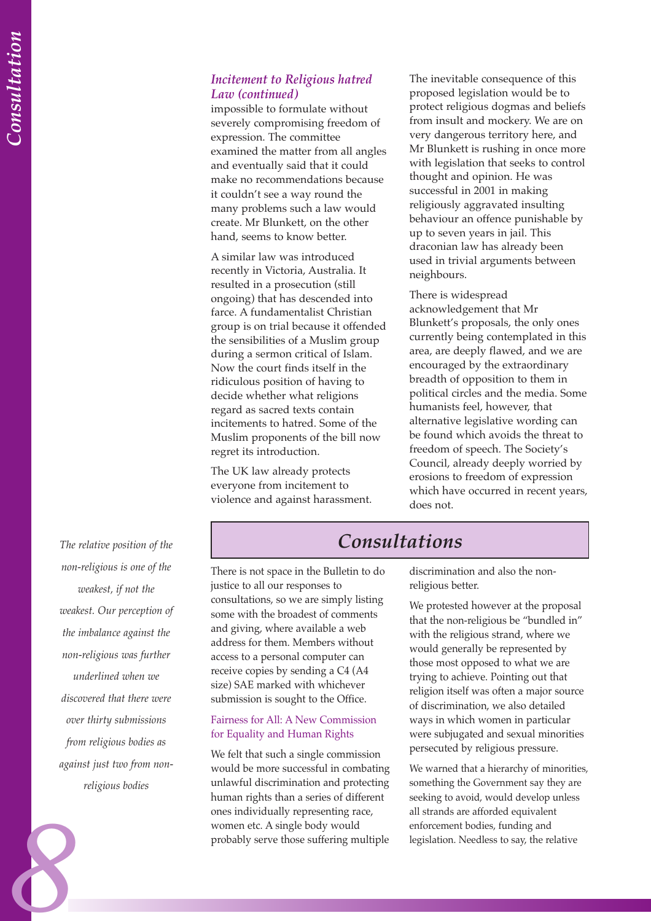#### *Incitement to Religious hatred Law (continued)*

impossible to formulate without severely compromising freedom of expression. The committee examined the matter from all angles and eventually said that it could make no recommendations because it couldn't see a way round the many problems such a law would create. Mr Blunkett, on the other hand, seems to know better.

A similar law was introduced recently in Victoria, Australia. It resulted in a prosecution (still ongoing) that has descended into farce. A fundamentalist Christian group is on trial because it offended the sensibilities of a Muslim group during a sermon critical of Islam. Now the court finds itself in the ridiculous position of having to decide whether what religions regard as sacred texts contain incitements to hatred. Some of the Muslim proponents of the bill now regret its introduction.

The UK law already protects everyone from incitement to violence and against harassment.

The inevitable consequence of this proposed legislation would be to protect religious dogmas and beliefs from insult and mockery. We are on very dangerous territory here, and Mr Blunkett is rushing in once more with legislation that seeks to control thought and opinion. He was successful in 2001 in making religiously aggravated insulting behaviour an offence punishable by up to seven years in jail. This draconian law has already been used in trivial arguments between neighbours.

There is widespread acknowledgement that Mr Blunkett's proposals, the only ones currently being contemplated in this area, are deeply flawed, and we are encouraged by the extraordinary breadth of opposition to them in political circles and the media. Some humanists feel, however, that alternative legislative wording can be found which avoids the threat to freedom of speech. The Society's Council, already deeply worried by erosions to freedom of expression which have occurred in recent years, does not.

*The relative position of the non-religious is one of the weakest, if not the weakest. Our perception of the imbalance against the non-religious was further underlined when we discovered that there were over thirty submissions from religious bodies as against just two from nonreligious bodies*

*8*

## *Consultations*

There is not space in the Bulletin to do justice to all our responses to consultations, so we are simply listing some with the broadest of comments and giving, where available a web address for them. Members without access to a personal computer can receive copies by sending a C4 (A4 size) SAE marked with whichever submission is sought to the Office.

#### Fairness for All: A New Commission for Equality and Human Rights

We felt that such a single commission would be more successful in combating unlawful discrimination and protecting human rights than a series of different ones individually representing race, women etc. A single body would probably serve those suffering multiple

discrimination and also the nonreligious better.

We protested however at the proposal that the non-religious be "bundled in" with the religious strand, where we would generally be represented by those most opposed to what we are trying to achieve. Pointing out that religion itself was often a major source of discrimination, we also detailed ways in which women in particular were subjugated and sexual minorities persecuted by religious pressure.

We warned that a hierarchy of minorities, something the Government say they are seeking to avoid, would develop unless all strands are afforded equivalent enforcement bodies, funding and legislation. Needless to say, the relative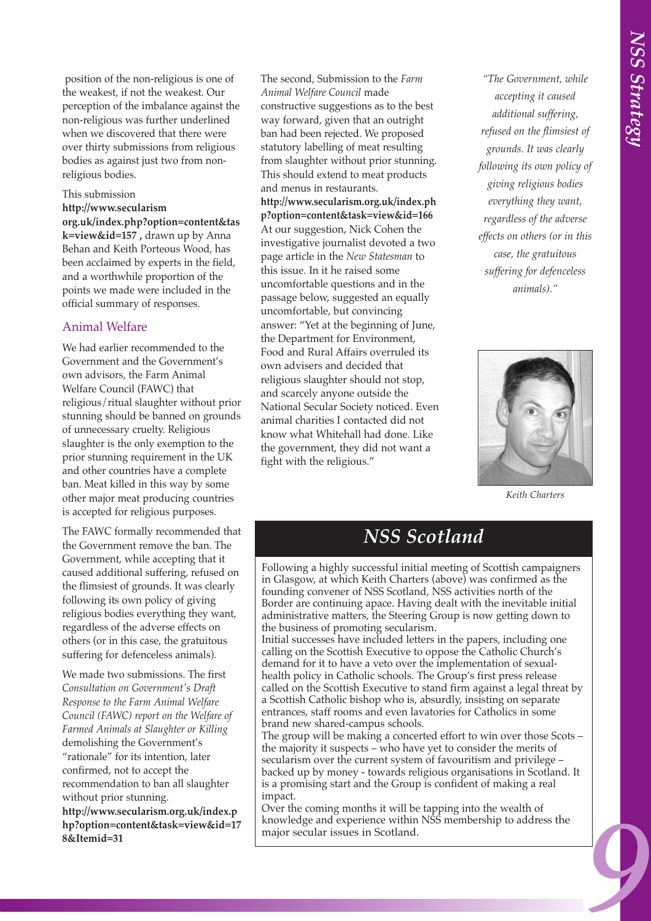position of the non-religious is one of the weakest, if not the weakest. Our perception of the imbalance against the non-religious was further underlined when we discovered that there were over thirty submissions from religious bodies as against just two from nonreligious bodies.

#### This submission

**http://www.secularism org.uk/index.php?option=content&tas k=view&id=157 ,** drawn up by Anna Behan and Keith Porteous Wood, has been acclaimed by experts in the field, and a worthwhile proportion of the points we made were included in the official summary of responses.

#### Animal Welfare

We had earlier recommended to the Government and the Government's own advisors, the Farm Animal Welfare Council (FAWC) that religious/ritual slaughter without prior stunning should be banned on grounds of unnecessary cruelty. Religious slaughter is the only exemption to the prior stunning requirement in the UK and other countries have a complete ban. Meat killed in this way by some other major meat producing countries is accepted for religious purposes.

The FAWC formally recommended that the Government remove the ban. The Government, while accepting that it caused additional suffering, refused on the flimsiest of grounds. It was clearly following its own policy of giving religious bodies everything they want, regardless of the adverse effects on others (or in this case, the gratuitous suffering for defenceless animals).

We made two submissions. The first *Consultation on Government's Draft Response to the Farm Animal Welfare Council (FAWC) report on the Welfare of Farmed Animals at Slaughter or Killing* demolishing the Government's "rationale" for its intention, later confirmed, not to accept the recommendation to ban all slaughter without prior stunning.

**http://www.secularism.org.uk/index.p hp?option=content&task=view&id=17 8&Itemid=31**

The second, Submission to the *Farm Animal Welfare Council* made constructive suggestions as to the best way forward, given that an outright ban had been rejected. We proposed statutory labelling of meat resulting from slaughter without prior stunning. This should extend to meat products and menus in restaurants.

**http://www.secularism.org.uk/index.ph p?option=content&task=view&id=166** At our suggestion, Nick Cohen the investigative journalist devoted a two page article in the *New Statesman* to this issue. In it he raised some uncomfortable questions and in the passage below, suggested an equally uncomfortable, but convincing answer: "Yet at the beginning of June, the Department for Environment, Food and Rural Affairs overruled its own advisers and decided that religious slaughter should not stop, and scarcely anyone outside the National Secular Society noticed. Even animal charities I contacted did not know what Whitehall had done. Like the government, they did not want a fight with the religious."

*9NSS Strategy "The Government, while accepting it caused additional suffering, refused on the flimsiest of grounds. It was clearly following its own policy of giving religious bodies everything they want, regardless of the adverse effects on others (or in this case, the gratuitous suffering for defenceless animals)."* 



*Keith Charters*

## *NSS Scotland*

Following a highly successful initial meeting of Scottish campaigners in Glasgow, at which Keith Charters (above) was confirmed as the founding convener of NSS Scotland, NSS activities north of the Border are continuing apace. Having dealt with the inevitable initial administrative matters, the Steering Group is now getting down to the business of promoting secularism.

Initial successes have included letters in the papers, including one calling on the Scottish Executive to oppose the Catholic Church's demand for it to have a veto over the implementation of sexualhealth policy in Catholic schools. The Group's first press release called on the Scottish Executive to stand firm against a legal threat by a Scottish Catholic bishop who is, absurdly, insisting on separate entrances, staff rooms and even lavatories for Catholics in some brand new shared-campus schools.

The group will be making a concerted effort to win over those Scots – the majority it suspects – who have yet to consider the merits of secularism over the current system of favouritism and privilege – backed up by money - towards religious organisations in Scotland. It is a promising start and the Group is confident of making a real impact.

Over the coming months it will be tapping into the wealth of knowledge and experience within NSS membership to address the major secular issues in Scotland.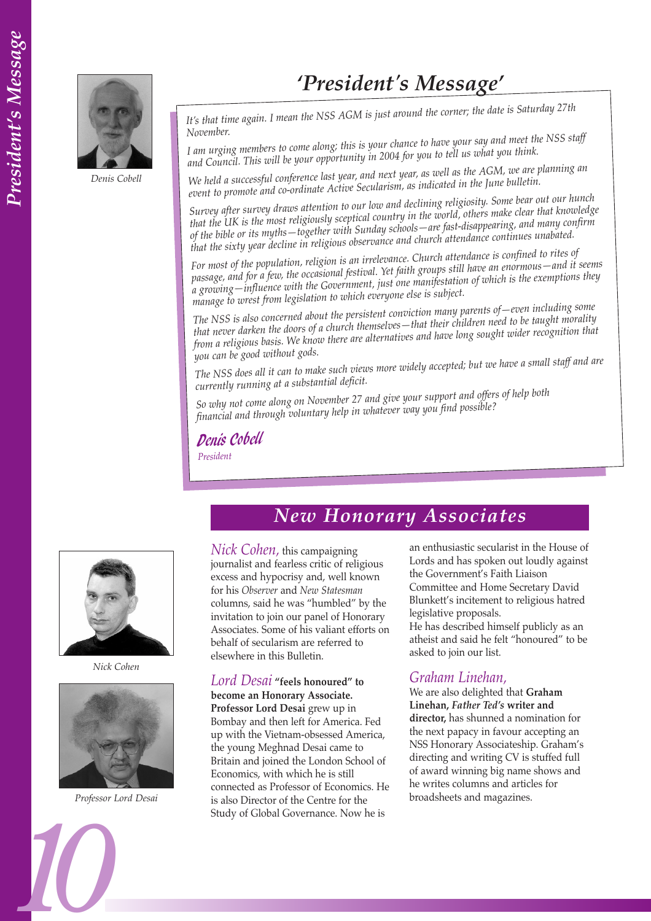

*Denis Cobell*

## *'President's Message'*

*It's that time again. I mean the NSS AGM is just around the corner; the date is Saturday 27th November.*

*I am urging members to come along; this is your chance to have your say and meet the NSS staff and Council. This will be your opportunity in 2004 for you to tell us what you think.*

*We held a successful conference last year, and next year, as well as the AGM, we are planning an event to promote and co-ordinate Active Secularism, as indicated in the June bulletin.*

*Survey after survey draws attention to our low and declining religiosity. Some bear out our hunch that the UK is the most religiously sceptical country in the world, others make clear that knowledge of the bible or its myths—together with Sunday schools—are fast-disappearing, and many confirm that the sixty year decline in religious observance and church attendance continues unabated.* 

*For most of the population, religion is an irrelevance. Church attendance is confined to rites of passage, and for a few, the occasional festival. Yet faith groups still have an enormous—and it seems a growing—influence with the Government, just one manifestation of which is the exemptions they manage to wrest from legislation to which everyone else is subject.*

*The NSS is also concerned about the persistent conviction many parents of—even including some that never darken the doors of a church themselves—that their children need to be taught morality from a religious basis. We know there are alternatives and have long sought wider recognition that you can be good without gods.*

*The NSS does all it can to make such views more widely accepted; but we have a small staff and are currently running at a substantial deficit.*

*So why not come along on November 27 and give your support and offers of help both financial and through voluntary help in whatever way you find possible?*

Denis Cobell

*President*



*Nick Cohen*



*Professor Lord Desai*

## *New Honorary Associates*

*Nick Cohen,* this campaigning journalist and fearless critic of religious excess and hypocrisy and, well known for his *Observer* and *New Statesman* columns, said he was "humbled" by the invitation to join our panel of Honorary Associates. Some of his valiant efforts on behalf of secularism are referred to elsewhere in this Bulletin.

*Lord Desai* **"feels honoured" to become an Honorary Associate. Professor Lord Desai** grew up in Bombay and then left for America. Fed up with the Vietnam-obsessed America, the young Meghnad Desai came to Britain and joined the London School of Economics, with which he is still connected as Professor of Economics. He is also Director of the Centre for the Study of Global Governance. Now he is

an enthusiastic secularist in the House of Lords and has spoken out loudly against the Government's Faith Liaison Committee and Home Secretary David Blunkett's incitement to religious hatred legislative proposals.

He has described himself publicly as an atheist and said he felt "honoured" to be asked to join our list.

#### *Graham Linehan,*

We are also delighted that **Graham Linehan,** *Father Ted's* **writer and director,** has shunned a nomination for the next papacy in favour accepting an NSS Honorary Associateship. Graham's directing and writing CV is stuffed full of award winning big name shows and he writes columns and articles for broadsheets and magazines.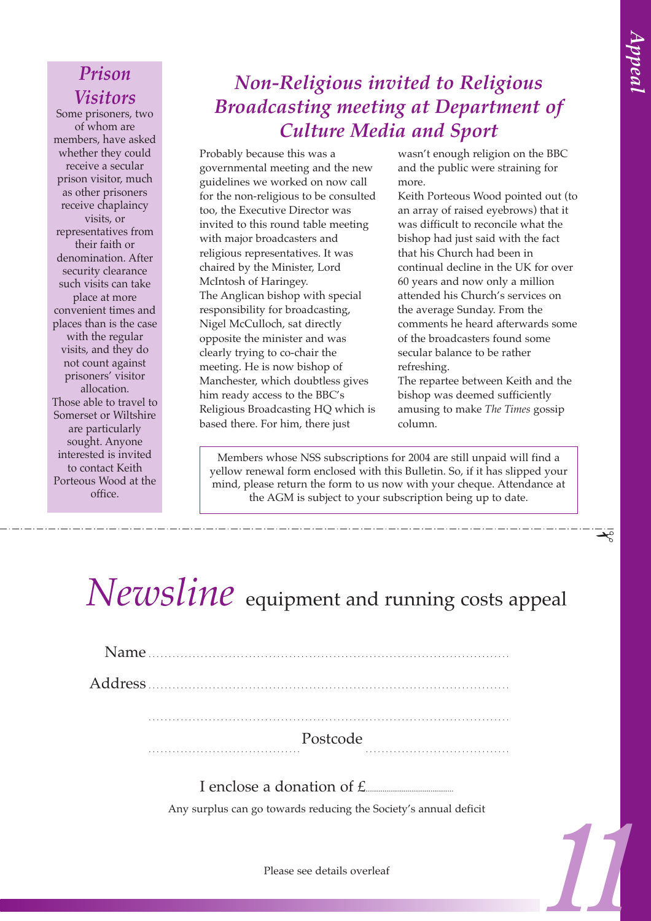✁

## *Prison Visitors*

Some prisoners, two of whom are members, have asked whether they could receive a secular prison visitor, much as other prisoners receive chaplaincy visits, or representatives from their faith or denomination. After security clearance such visits can take place at more convenient times and places than is the case with the regular visits, and they do not count against prisoners' visitor allocation. Those able to travel to Somerset or Wiltshire are particularly sought. Anyone interested is invited to contact Keith Porteous Wood at the office.

## *Non-Religious invited to Religious Broadcasting meeting at Department of Culture Media and Sport*

Probably because this was a governmental meeting and the new guidelines we worked on now call for the non-religious to be consulted too, the Executive Director was invited to this round table meeting with major broadcasters and religious representatives. It was chaired by the Minister, Lord McIntosh of Haringey. The Anglican bishop with special responsibility for broadcasting, Nigel McCulloch, sat directly opposite the minister and was clearly trying to co-chair the meeting. He is now bishop of Manchester, which doubtless gives him ready access to the BBC's Religious Broadcasting HQ which is based there. For him, there just

wasn't enough religion on the BBC and the public were straining for more.

*1*<br> *1Appeal*<br> *11Appeal***<br>** *11***<b>** Appeal<br> *11* Appeal<br> *11* Appeal<br> *11* Appeal<br> *11* Appeal<br> *11* Appeal<br> *11* Appeal<br> *11* Appeal<br> *11* Appeal<br> *11* Appeal<br> *11* Appeal Keith Porteous Wood pointed out (to an array of raised eyebrows) that it was difficult to reconcile what the bishop had just said with the fact that his Church had been in continual decline in the UK for over 60 years and now only a million attended his Church's services on the average Sunday. From the comments he heard afterwards some of the broadcasters found some secular balance to be rather refreshing.

The repartee between Keith and the bishop was deemed sufficiently amusing to make *The Times* gossip column.

Members whose NSS subscriptions for 2004 are still unpaid will find a yellow renewal form enclosed with this Bulletin. So, if it has slipped your mind, please return the form to us now with your cheque. Attendance at the AGM is subject to your subscription being up to date.

# *Newsline* equipment and running costs appeal

| Name. |          |  |
|-------|----------|--|
|       |          |  |
|       |          |  |
|       | Postcode |  |

I enclose a donation of  $f$ .

Any surplus can go towards reducing the Society's annual deficit

Please see details overleaf